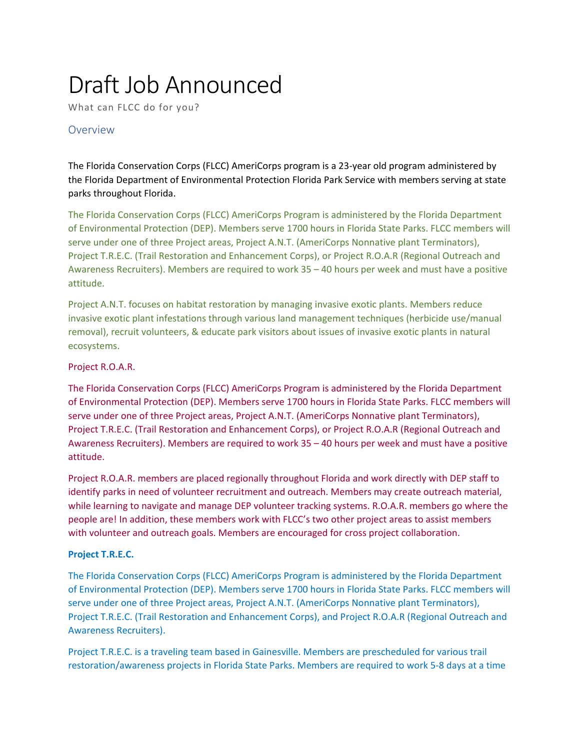# Draft Job Announced

What can FLCC do for you?

### Overview

The Florida Conservation Corps (FLCC) AmeriCorps program is a 23-year old program administered by the Florida Department of Environmental Protection Florida Park Service with members serving at state parks throughout Florida.

The Florida Conservation Corps (FLCC) AmeriCorps Program is administered by the Florida Department of Environmental Protection (DEP). Members serve 1700 hours in Florida State Parks. FLCC members will serve under one of three Project areas, Project A.N.T. (AmeriCorps Nonnative plant Terminators), Project T.R.E.C. (Trail Restoration and Enhancement Corps), or Project R.O.A.R (Regional Outreach and Awareness Recruiters). Members are required to work 35 – 40 hours per week and must have a positive attitude.

Project A.N.T. focuses on habitat restoration by managing invasive exotic plants. Members reduce invasive exotic plant infestations through various land management techniques (herbicide use/manual removal), recruit volunteers, & educate park visitors about issues of invasive exotic plants in natural ecosystems.

#### Project R.O.A.R.

The Florida Conservation Corps (FLCC) AmeriCorps Program is administered by the Florida Department of Environmental Protection (DEP). Members serve 1700 hours in Florida State Parks. FLCC members will serve under one of three Project areas, Project A.N.T. (AmeriCorps Nonnative plant Terminators), Project T.R.E.C. (Trail Restoration and Enhancement Corps), or Project R.O.A.R (Regional Outreach and Awareness Recruiters). Members are required to work 35 – 40 hours per week and must have a positive attitude.

Project R.O.A.R. members are placed regionally throughout Florida and work directly with DEP staff to identify parks in need of volunteer recruitment and outreach. Members may create outreach material, while learning to navigate and manage DEP volunteer tracking systems. R.O.A.R. members go where the people are! In addition, these members work with FLCC's two other project areas to assist members with volunteer and outreach goals. Members are encouraged for cross project collaboration.

#### **Project T.R.E.C.**

The Florida Conservation Corps (FLCC) AmeriCorps Program is administered by the Florida Department of Environmental Protection (DEP). Members serve 1700 hours in Florida State Parks. FLCC members will serve under one of three Project areas, Project A.N.T. (AmeriCorps Nonnative plant Terminators), Project T.R.E.C. (Trail Restoration and Enhancement Corps), and Project R.O.A.R (Regional Outreach and Awareness Recruiters).

Project T.R.E.C. is a traveling team based in Gainesville. Members are prescheduled for various trail restoration/awareness projects in Florida State Parks. Members are required to work 5-8 days at a time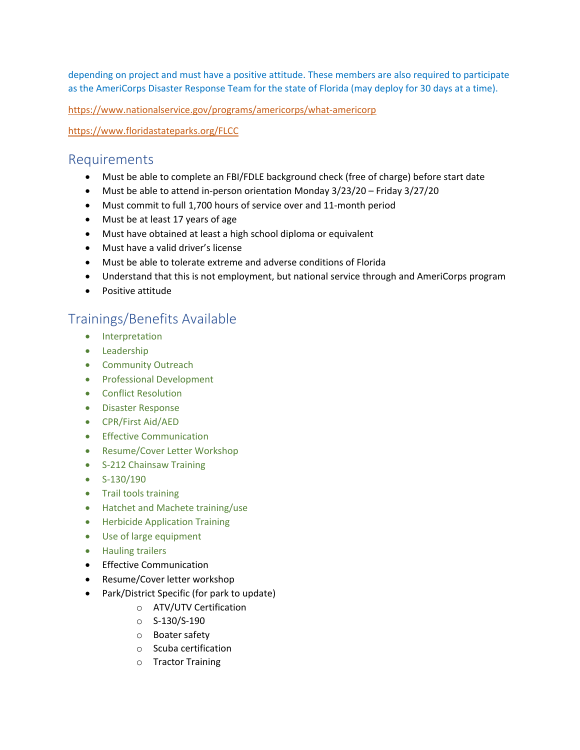depending on project and must have a positive attitude. These members are also required to participate as the AmeriCorps Disaster Response Team for the state of Florida (may deploy for 30 days at a time).

<https://www.nationalservice.gov/programs/americorps/what-americorp>

<https://www.floridastateparks.org/FLCC>

## Requirements

- Must be able to complete an FBI/FDLE background check (free of charge) before start date
- Must be able to attend in-person orientation Monday 3/23/20 Friday 3/27/20
- Must commit to full 1,700 hours of service over and 11-month period
- Must be at least 17 years of age
- Must have obtained at least a high school diploma or equivalent
- Must have a valid driver's license
- Must be able to tolerate extreme and adverse conditions of Florida
- Understand that this is not employment, but national service through and AmeriCorps program
- Positive attitude

# Trainings/Benefits Available

- Interpretation
- Leadership
- Community Outreach
- Professional Development
- Conflict Resolution
- Disaster Response
- CPR/First Aid/AED
- Effective Communication
- Resume/Cover Letter Workshop
- S-212 Chainsaw Training
- S-130/190
- Trail tools training
- Hatchet and Machete training/use
- Herbicide Application Training
- Use of large equipment
- Hauling trailers
- Effective Communication
- Resume/Cover letter workshop
- Park/District Specific (for park to update)
	- o ATV/UTV Certification
	- o S-130/S-190
	- o Boater safety
	- o Scuba certification
	- o Tractor Training